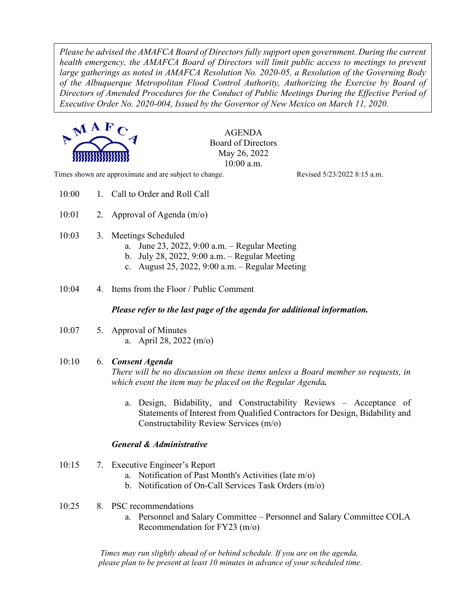*Please be advised the AMAFCA Board of Directors fully support open government. During the current health emergency, the AMAFCA Board of Directors will limit public access to meetings to prevent large gatherings as noted in AMAFCA Resolution No. 2020-05, a Resolution of the Governing Body of the Albuquerque Metropolitan Flood Control Authority, Authorizing the Exercise by Board of Directors of Amended Procedures for the Conduct of Public Meetings During the Effective Period of Executive Order No. 2020-004, Issued by the Governor of New Mexico on March 11, 2020.*



AGENDA Board of Directors May 26, 2022 10:00 a.m.

Times shown are approximate and are subject to change. Revised 5/23/2022 8:15 a.m.

- 10:00 1. Call to Order and Roll Call
- 10:01 2. Approval of Agenda  $(m/o)$
- 10:03 3. Meetings Scheduled
	- a. June 23, 2022, 9:00 a.m. Regular Meeting
	- b. July 28, 2022, 9:00 a.m. Regular Meeting
	- c. August 25, 2022, 9:00 a.m. Regular Meeting
- 10:04 4. Items from the Floor / Public Comment

### *Please refer to the last page of the agenda for additional information.*

10:07 5. Approval of Minutes a. April 28, 2022 (m/o)

### 10:10 6. *Consent Agenda*

*There will be no discussion on these items unless a Board member so requests, in which event the item may be placed on the Regular Agenda.*

a. Design, Bidability, and Constructability Reviews – Acceptance of Statements of Interest from Qualified Contractors for Design, Bidability and Constructability Review Services (m/o)

### *General & Administrative*

- 10:15 7. Executive Engineer's Report
	- a. Notification of Past Month's Activities (late m/o)
	- b. Notification of On-Call Services Task Orders (m/o)
- 10:25 8. PSC recommendations
	- a. Personnel and Salary Committee Personnel and Salary Committee COLA Recommendation for FY23 (m/o)

*Times may run slightly ahead of or behind schedule. If you are on the agenda, please plan to be present at least 10 minutes in advance of your scheduled time.*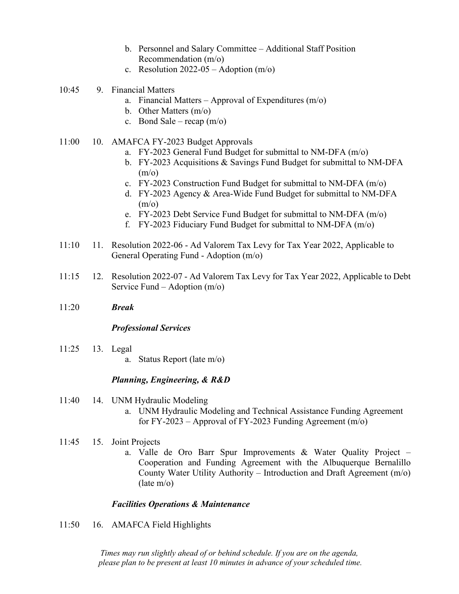- b. Personnel and Salary Committee Additional Staff Position Recommendation (m/o)
- c. Resolution  $2022-05$  Adoption  $(m/o)$
- 10:45 9. Financial Matters
	- a. Financial Matters Approval of Expenditures  $(m/o)$
	- b. Other Matters (m/o)
	- c. Bond Sale recap  $(m/o)$
- 11:00 10. AMAFCA FY-2023 Budget Approvals
	- a. FY-2023 General Fund Budget for submittal to NM-DFA (m/o)
	- b. FY-2023 Acquisitions & Savings Fund Budget for submittal to NM-DFA  $(m/o)$
	- c. FY-2023 Construction Fund Budget for submittal to NM-DFA (m/o)
	- d. FY-2023 Agency & Area-Wide Fund Budget for submittal to NM-DFA  $(m/o)$
	- e. FY-2023 Debt Service Fund Budget for submittal to NM-DFA (m/o)
	- f. FY-2023 Fiduciary Fund Budget for submittal to NM-DFA (m/o)
- 11:10 11. Resolution 2022-06 Ad Valorem Tax Levy for Tax Year 2022, Applicable to General Operating Fund - Adoption (m/o)
- 11:15 12. Resolution 2022-07 Ad Valorem Tax Levy for Tax Year 2022, Applicable to Debt Service Fund – Adoption (m/o)
- 11:20 *Break*

### *Professional Services*

- 11:25 13. Legal
	- a. Status Report (late m/o)

### *Planning, Engineering, & R&D*

- 11:40 14. UNM Hydraulic Modeling
	- a. UNM Hydraulic Modeling and Technical Assistance Funding Agreement for FY-2023 – Approval of FY-2023 Funding Agreement  $(m/o)$
- 11:45 15. Joint Projects
	- a. Valle de Oro Barr Spur Improvements & Water Quality Project Cooperation and Funding Agreement with the Albuquerque Bernalillo County Water Utility Authority – Introduction and Draft Agreement (m/o) (late m/o)

### *Facilities Operations & Maintenance*

11:50 16. AMAFCA Field Highlights

*Times may run slightly ahead of or behind schedule. If you are on the agenda, please plan to be present at least 10 minutes in advance of your scheduled time.*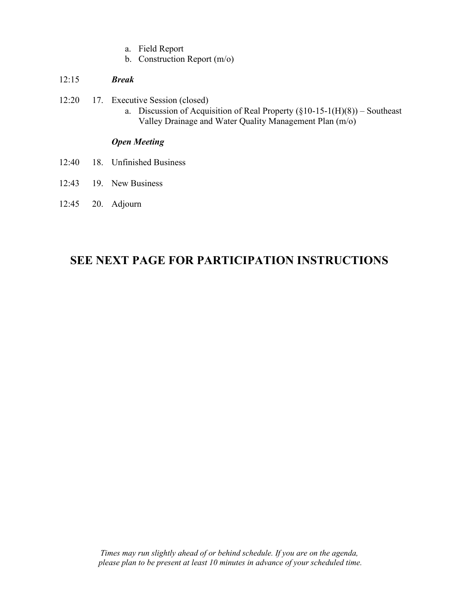- a. Field Report
- b. Construction Report (m/o)

### 12:15 *Break*

- 12:20 17. Executive Session (closed)
	- a. Discussion of Acquisition of Real Property  $(\S10-15-1(H)(8))$  Southeast Valley Drainage and Water Quality Management Plan (m/o)

# *Open Meeting*

- 12:40 18. Unfinished Business
- 12:43 19. New Business
- 12:45 20. Adjourn

# **SEE NEXT PAGE FOR PARTICIPATION INSTRUCTIONS**